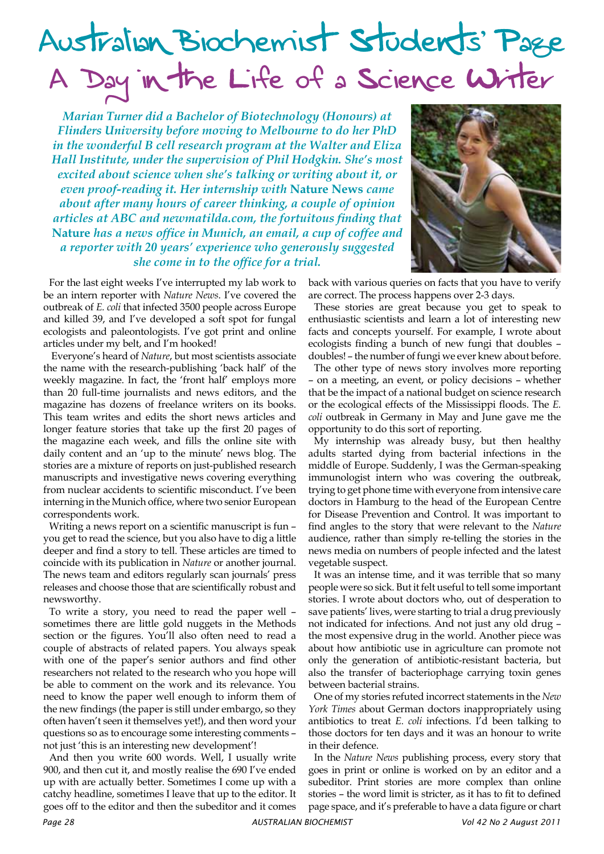## Australian Biochemist Students' Page A Day in the Life of a Science Writer

*Marian Turner did a Bachelor of Biotechnology (Honours) at Flinders University before moving to Melbourne to do her PhD in the wonderful B cell research program at the Walter and Eliza Hall Institute, under the supervision of Phil Hodgkin. She's most excited about science when she's talking or writing about it, or even proof-reading it. Her internship with* **Nature News** *came about after many hours of career thinking, a couple of opinion articles at ABC and newmatilda.com, the fortuitous finding that*  **Nature** *has a news office in Munich, an email, a cup of coffee and a reporter with 20 years' experience who generously suggested she come in to the office for a trial.*



For the last eight weeks I've interrupted my lab work to be an intern reporter with *Nature News*. I've covered the outbreak of *E. coli* that infected 3500 people across Europe and killed 39, and I've developed a soft spot for fungal ecologists and paleontologists. I've got print and online articles under my belt, and I'm hooked!

 Everyone's heard of *Nature*, but most scientists associate the name with the research-publishing 'back half' of the weekly magazine. In fact, the 'front half' employs more than 20 full-time journalists and news editors, and the magazine has dozens of freelance writers on its books. This team writes and edits the short news articles and longer feature stories that take up the first 20 pages of the magazine each week, and fills the online site with daily content and an 'up to the minute' news blog. The stories are a mixture of reports on just-published research manuscripts and investigative news covering everything from nuclear accidents to scientific misconduct. I've been interning in the Munich office, where two senior European correspondents work.

Writing a news report on a scientific manuscript is fun – you get to read the science, but you also have to dig a little deeper and find a story to tell. These articles are timed to coincide with its publication in *Nature* or another journal. The news team and editors regularly scan journals' press releases and choose those that are scientifically robust and newsworthy.

To write a story, you need to read the paper well – sometimes there are little gold nuggets in the Methods section or the figures. You'll also often need to read a couple of abstracts of related papers. You always speak with one of the paper's senior authors and find other researchers not related to the research who you hope will be able to comment on the work and its relevance. You need to know the paper well enough to inform them of the new findings (the paper is still under embargo, so they often haven't seen it themselves yet!), and then word your questions so as to encourage some interesting comments – not just 'this is an interesting new development'!

And then you write 600 words. Well, I usually write 900, and then cut it, and mostly realise the 690 I've ended up with are actually better. Sometimes I come up with a catchy headline, sometimes I leave that up to the editor. It goes off to the editor and then the subeditor and it comes back with various queries on facts that you have to verify are correct. The process happens over 2-3 days.

These stories are great because you get to speak to enthusiastic scientists and learn a lot of interesting new facts and concepts yourself. For example, I wrote about ecologists finding a bunch of new fungi that doubles – doubles! – the number of fungi we ever knew about before.

The other type of news story involves more reporting – on a meeting, an event, or policy decisions – whether that be the impact of a national budget on science research or the ecological effects of the Mississippi floods. The *E. coli* outbreak in Germany in May and June gave me the opportunity to do this sort of reporting.

My internship was already busy, but then healthy adults started dying from bacterial infections in the middle of Europe. Suddenly, I was the German-speaking immunologist intern who was covering the outbreak, trying to get phone time with everyone from intensive care doctors in Hamburg to the head of the European Centre for Disease Prevention and Control. It was important to find angles to the story that were relevant to the *Nature* audience, rather than simply re-telling the stories in the news media on numbers of people infected and the latest vegetable suspect.

It was an intense time, and it was terrible that so many people were so sick. But it felt useful to tell some important stories. I wrote about doctors who, out of desperation to save patients' lives, were starting to trial a drug previously not indicated for infections. And not just any old drug – the most expensive drug in the world. Another piece was about how antibiotic use in agriculture can promote not only the generation of antibiotic-resistant bacteria, but also the transfer of bacteriophage carrying toxin genes between bacterial strains.

One of my stories refuted incorrect statements in the *New York Times* about German doctors inappropriately using antibiotics to treat *E. coli* infections. I'd been talking to those doctors for ten days and it was an honour to write in their defence.

In the *Nature News* publishing process, every story that goes in print or online is worked on by an editor and a subeditor. Print stories are more complex than online stories – the word limit is stricter, as it has to fit to defined page space, and it's preferable to have a data figure or chart